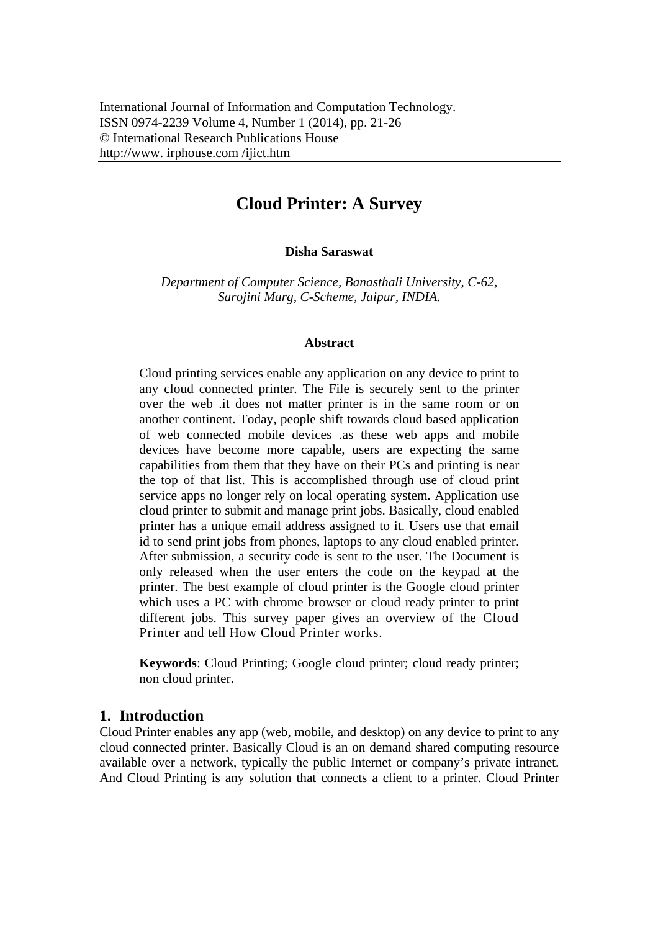# **Cloud Printer: A Survey**

**Disha Saraswat**

*Department of Computer Science, Banasthali University, C-62, Sarojini Marg, C-Scheme, Jaipur, INDIA.* 

#### **Abstract**

Cloud printing services enable any application on any device to print to any cloud connected printer. The File is securely sent to the printer over the web .it does not matter printer is in the same room or on another continent. Today, people shift towards cloud based application of web connected mobile devices .as these web apps and mobile devices have become more capable, users are expecting the same capabilities from them that they have on their PCs and printing is near the top of that list. This is accomplished through use of cloud print service apps no longer rely on local operating system. Application use cloud printer to submit and manage print jobs. Basically, cloud enabled printer has a unique email address assigned to it. Users use that email id to send print jobs from phones, laptops to any cloud enabled printer. After submission, a security code is sent to the user. The Document is only released when the user enters the code on the keypad at the printer. The best example of cloud printer is the Google cloud printer which uses a PC with chrome browser or cloud ready printer to print different jobs. This survey paper gives an overview of the Cloud Printer and tell How Cloud Printer works.

**Keywords**: Cloud Printing; Google cloud printer; cloud ready printer; non cloud printer.

#### **1. Introduction**

Cloud Printer enables any app (web, mobile, and desktop) on any device to print to any cloud connected printer. Basically Cloud is an on demand shared computing resource available over a network, typically the public Internet or company's private intranet. And Cloud Printing is any solution that connects a client to a printer. Cloud Printer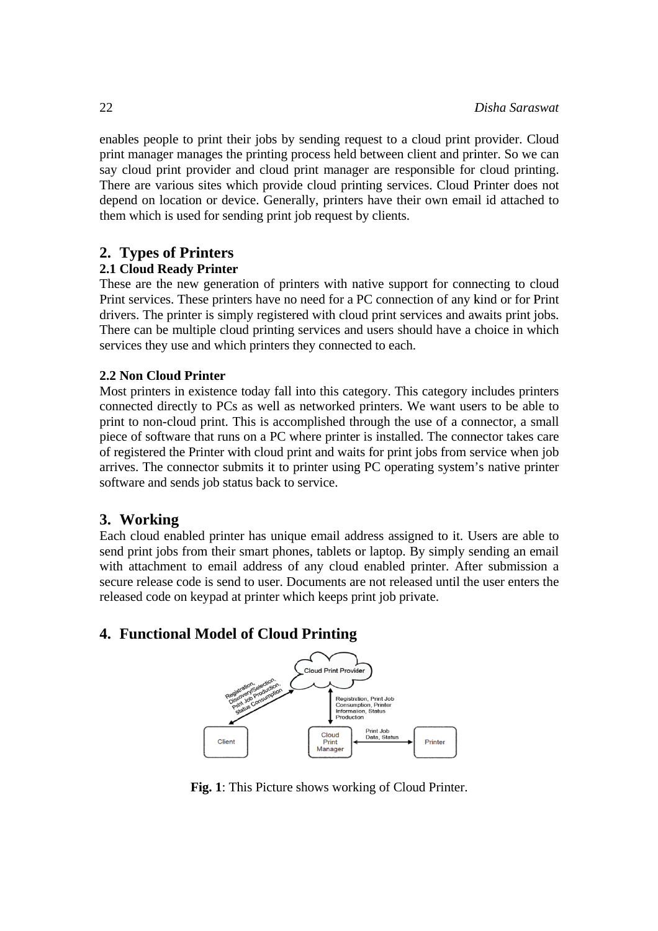enables people to print their jobs by sending request to a cloud print provider. Cloud print manager manages the printing process held between client and printer. So we can say cloud print provider and cloud print manager are responsible for cloud printing. There are various sites which provide cloud printing services. Cloud Printer does not depend on location or device. Generally, printers have their own email id attached to them which is used for sending print job request by clients.

## **2. Types of Printers**

#### **2.1 Cloud Ready Printer**

These are the new generation of printers with native support for connecting to cloud Print services. These printers have no need for a PC connection of any kind or for Print drivers. The printer is simply registered with cloud print services and awaits print jobs. There can be multiple cloud printing services and users should have a choice in which services they use and which printers they connected to each.

#### **2.2 Non Cloud Printer**

Most printers in existence today fall into this category. This category includes printers connected directly to PCs as well as networked printers. We want users to be able to print to non-cloud print. This is accomplished through the use of a connector, a small piece of software that runs on a PC where printer is installed. The connector takes care of registered the Printer with cloud print and waits for print jobs from service when job arrives. The connector submits it to printer using PC operating system's native printer software and sends job status back to service.

## **3. Working g**

Each cloud enabled printer has unique email address assigned to it. Users are able to send print jobs from their smart phones, tablets or laptop. By simply sending an email with attachment to email address of any cloud enabled printer. After submission a secure release code is send to user. Documents are not released until the user enters the released code on keypad at printer which keeps print job private.

# **4. Functional Model of Cloud Printing**



Fig. 1: This Picture shows working of Cloud Printer.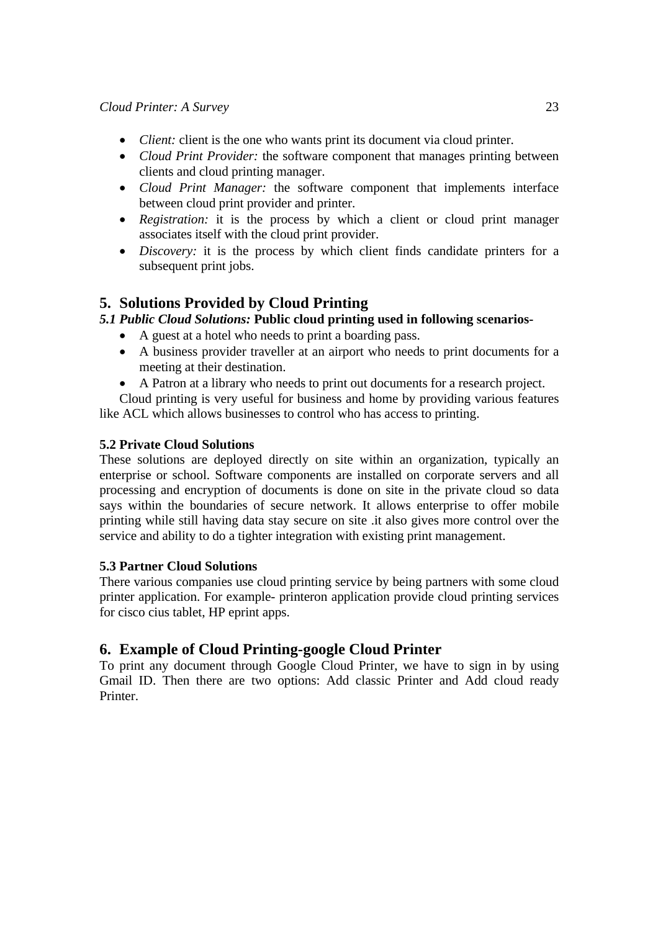- *Client:* client is the one who wants print its document via cloud printer.
- *Cloud Print Provider:* the software component that manages printing between clients and cloud printing manager.
- *Cloud Print Manager:* the software component that implements interface between cloud print provider and printer.
- *Registration:* it is the process by which a client or cloud print manager associates itself with the cloud print provider.
- *Discovery:* it is the process by which client finds candidate printers for a subsequent print jobs.

# **5. Solutions Provided by Cloud Printing**

## *5.1 Public Cloud Solutions:* **Public cloud printing used in following scenarios-**

- A guest at a hotel who needs to print a boarding pass.
- A business provider traveller at an airport who needs to print documents for a meeting at their destination.
- A Patron at a library who needs to print out documents for a research project.

Cloud printing is very useful for business and home by providing various features like ACL which allows businesses to control who has access to printing.

#### **5.2 Private Cloud Solutions**

These solutions are deployed directly on site within an organization, typically an enterprise or school. Software components are installed on corporate servers and all processing and encryption of documents is done on site in the private cloud so data says within the boundaries of secure network. It allows enterprise to offer mobile printing while still having data stay secure on site .it also gives more control over the service and ability to do a tighter integration with existing print management.

#### **5.3 Partner Cloud Solutions**

There various companies use cloud printing service by being partners with some cloud printer application. For example- printeron application provide cloud printing services for cisco cius tablet, HP eprint apps.

# **6. Example of Cloud Printing-google Cloud Printer**

To print any document through Google Cloud Printer, we have to sign in by using Gmail ID. Then there are two options: Add classic Printer and Add cloud ready Printer.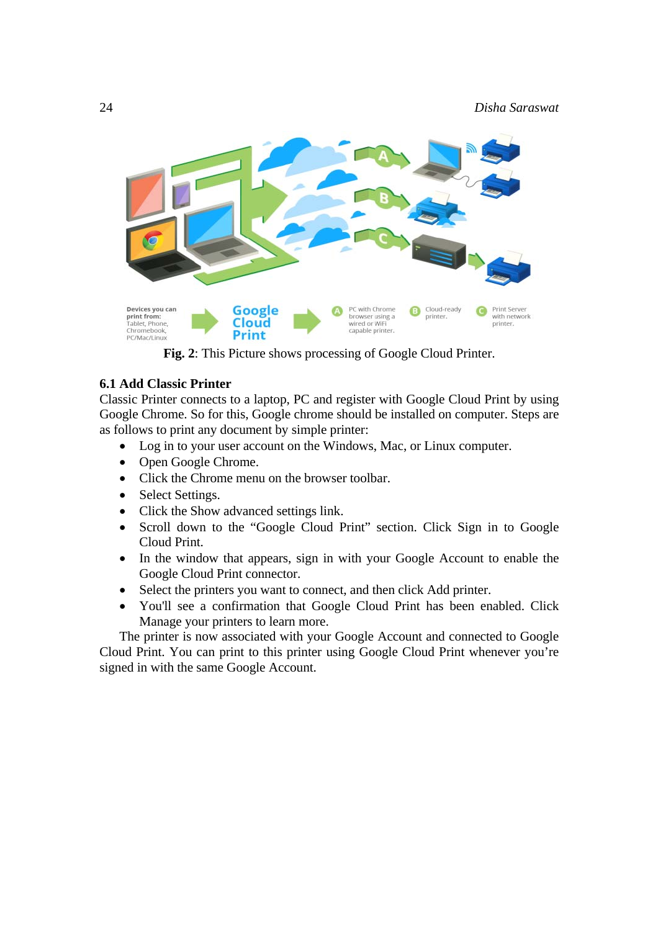

**Fig. 2**: This Picture shows processing of Google Cloud Printer.

#### **6.1 Add Classic Printer**

Classic Printer connects to a laptop, PC and register with Google Cloud Print by using Google Chrome. So for this, Google chrome should be installed on computer. Steps are as follows to print any document by simple printer:

- Log in to your user account on the Windows, Mac, or Linux computer.
- Open Google Chrome.
- Click the Chrome menu on the browser toolbar.
- Select Settings.
- Click the Show advanced settings link.
- Scroll down to the "Google Cloud Print" section. Click Sign in to Google Cloud Print.
- In the window that appears, sign in with your Google Account to enable the Google Cloud Print connector.
- Select the printers you want to connect, and then click Add printer.
- You'll see a confirmation that Google Cloud Print has been enabled. Click Manage your printers to learn more.

The printer is now associated with your Google Account and connected to Google Cloud Print. You can print to this printer using Google Cloud Print whenever you're signed in with the same Google Account.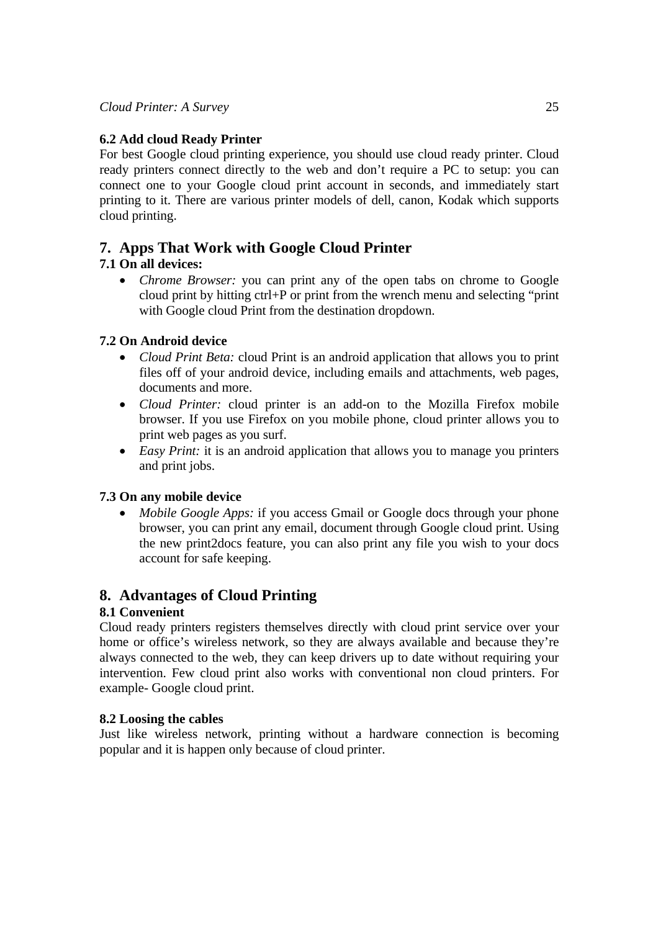## **6.2 Add cloud Ready Printer**

For best Google cloud printing experience, you should use cloud ready printer. Cloud ready printers connect directly to the web and don't require a PC to setup: you can connect one to your Google cloud print account in seconds, and immediately start printing to it. There are various printer models of dell, canon, Kodak which supports cloud printing.

# **7. Apps That Work with Google Cloud Printer**

# **7.1 On all devices:**

• *Chrome Browser:* you can print any of the open tabs on chrome to Google cloud print by hitting ctrl+P or print from the wrench menu and selecting "print with Google cloud Print from the destination dropdown.

## **7.2 On Android device**

- *Cloud Print Beta:* cloud Print is an android application that allows you to print files off of your android device, including emails and attachments, web pages, documents and more.
- *Cloud Printer:* cloud printer is an add-on to the Mozilla Firefox mobile browser. If you use Firefox on you mobile phone, cloud printer allows you to print web pages as you surf.
- *Easy Print:* it is an android application that allows you to manage you printers and print jobs.

## **7.3 On any mobile device**

• *Mobile Google Apps:* if you access Gmail or Google docs through your phone browser, you can print any email, document through Google cloud print. Using the new print2docs feature, you can also print any file you wish to your docs account for safe keeping.

# **8. Advantages of Cloud Printing**

## **8.1 Convenient**

Cloud ready printers registers themselves directly with cloud print service over your home or office's wireless network, so they are always available and because they're always connected to the web, they can keep drivers up to date without requiring your intervention. Few cloud print also works with conventional non cloud printers. For example- Google cloud print.

## **8.2 Loosing the cables**

Just like wireless network, printing without a hardware connection is becoming popular and it is happen only because of cloud printer.